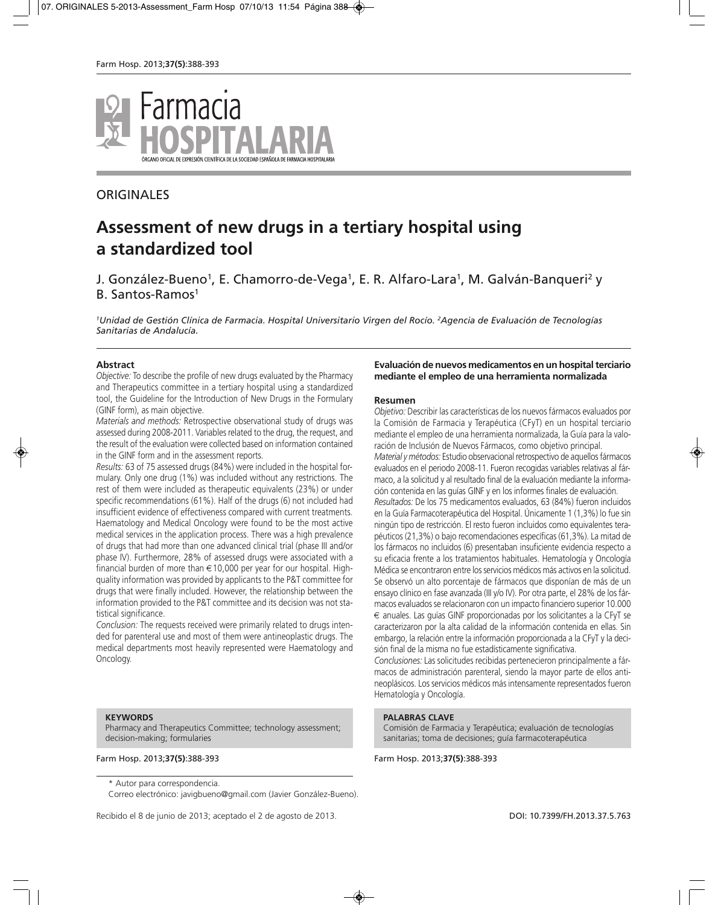

# **ORIGINALES**

# **Assessment of new drugs in a tertiary hospital using a standardized tool**

# J. González-Bueno<sup>1</sup>, E. Chamorro-de-Vega<sup>1</sup>, E. R. Alfaro-Lara<sup>1</sup>, M. Galván-Banqueri<sup>2</sup> y B. Santos-Ramos<sup>1</sup>

*1Unidad de Gestión Clínica de Farmacia. Hospital Universitario Virgen del Rocío. 2Agencia de Evaluación de Tecnologías Sanitarias de Andalucía.*

#### **Abstract**

*Objective:* To describe the profile of new drugs evaluated by the Pharmacy and Therapeutics committee in a tertiary hospital using a standardized tool, the Guideline for the Introduction of New Drugs in the Formulary (GINF form), as main objective.

*Materials and methods:* Retrospective observational study of drugs was assessed during 2008-2011. Variables related to the drug, the request, and the result of the evaluation were collected based on information contained in the GINF form and in the assessment reports.

*Results:* 63 of 75 assessed drugs (84%) were included in the hospital formulary. Only one drug (1%) was included without any restrictions. The rest of them were included as therapeutic equivalents (23%) or under specific recommendations (61%). Half of the drugs (6) not included had insufficient evidence of effectiveness compared with current treatments. Haematology and Medical Oncology were found to be the most active medical services in the application process. There was a high prevalence of drugs that had more than one advanced clinical trial (phase III and/or phase IV). Furthermore, 28% of assessed drugs were associated with a financial burden of more than  $\in$  10,000 per year for our hospital. Highquality information was provided by applicants to the P&T committee for drugs that were finally included. However, the relationship between the information provided to the P&T committee and its decision was not statistical significance.

*Conclusion:* The requests received were primarily related to drugs intended for parenteral use and most of them were antineoplastic drugs. The medical departments most heavily represented were Haematology and Oncology.

#### **KEYWORDS**

Pharmacy and Therapeutics Committee; technology assessment; decision-making; formularies

\* Autor para correspondencia.

Correo electrónico: javigbueno@gmail.com (Javier González-Bueno).

Recibido el 8 de junio de 2013; aceptado el 2 de agosto de 2013. DOI: 10.7399/FH.2013.37.5.763

#### **Evaluación de nuevos medicamentos en un hospital terciario mediante el empleo de una herramienta normalizada**

#### **Resumen**

*Objetivo:* Describir las características de los nuevos fármacos evaluados por la Comisión de Farmacia y Terapéutica (CFyT) en un hospital terciario mediante el empleo de una herramienta normalizada, la Guía para la valoración de Inclusión de Nuevos Fármacos, como objetivo principal. *Material y métodos:* Estudio observacional retrospectivo de aquellos fármacos evaluados en el periodo 2008-11. Fueron recogidas variables relativas al fármaco, a la solicitud y al resultado final de la evaluación mediante la información contenida en las guías GINF y en los informes finales de evaluación. *Resultados:* De los 75 medicamentos evaluados, 63 (84%) fueron incluidos en la Guía Farmacoterapéutica del Hospital. Únicamente 1 (1,3%) lo fue sin ningún tipo de restricción. El resto fueron incluidos como equivalentes terapéuticos (21,3%) o bajo recomendaciones específicas (61,3%). La mitad de los fármacos no incluidos (6) presentaban insuficiente evidencia respecto a su eficacia frente a los tratamientos habituales. Hematología y Oncología Médica se encontraron entre los servicios médicos más activos en la solicitud. Se observó un alto porcentaje de fármacos que disponían de más de un ensayo clínico en fase avanzada (III y/o IV). Por otra parte, el 28% de los fármacos evaluados se relacionaron con un impacto financiero superior 10.000 € anuales. Las guías GINF proporcionadas por los solicitantes a la CFyT se caracterizaron por la alta calidad de la información contenida en ellas. Sin embargo, la relación entre la información proporcionada a la CFyT y la decisión final de la misma no fue estadísticamente significativa.

*Conclusiones:* Las solicitudes recibidas pertenecieron principalmente a fármacos de administración parenteral, siendo la mayor parte de ellos antineoplásicos. Los servicios médicos más intensamente representados fueron Hematología y Oncología.

#### **PALABRAS CLAVE**

Comisión de Farmacia y Terapéutica; evaluación de tecnologías sanitarias; toma de decisiones; guía farmacoterapéutica

Farm Hosp. 2013;**37(5)**:388-393 Farm Hosp. 2013;**37(5)**:388-393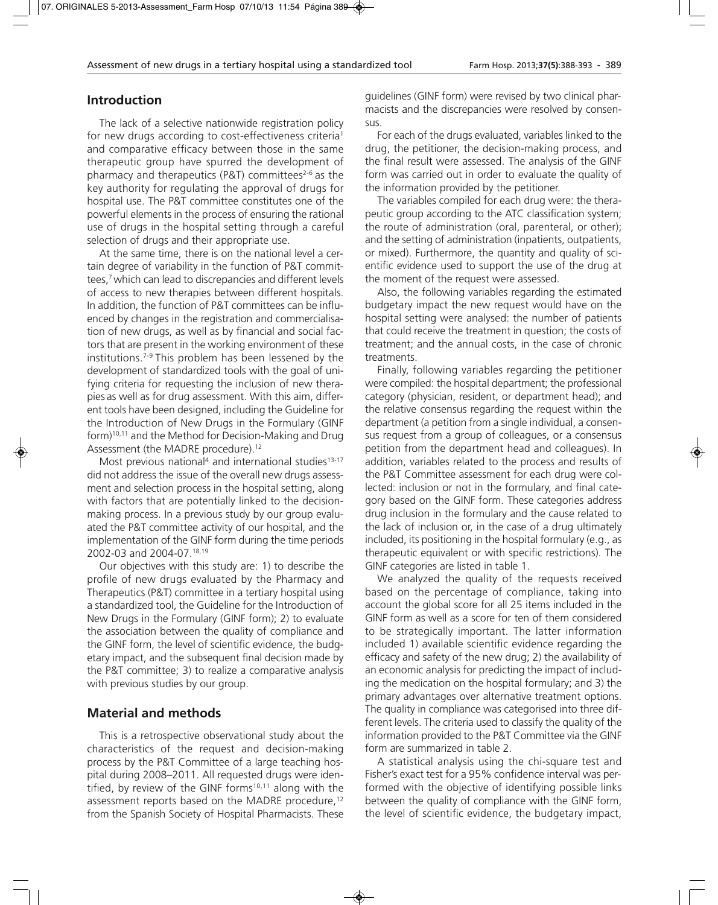# **Introduction**

The lack of a selective nationwide registration policy for new drugs according to cost-effectiveness criteria<sup>1</sup> and comparative efficacy between those in the same therapeutic group have spurred the development of pharmacy and therapeutics (P&T) committees $2-6$  as the key authority for regulating the approval of drugs for hospital use. The P&T committee constitutes one of the powerful elements in the process of ensuring the rational use of drugs in the hospital setting through a careful selection of drugs and their appropriate use.

At the same time, there is on the national level a certain degree of variability in the function of P&T committees,7 which can lead to discrepancies and different levels of access to new therapies between different hospitals. In addition, the function of P&T committees can be influenced by changes in the registration and commercialisation of new drugs, as well as by financial and social factors that are present in the working environment of these institutions.7-9 This problem has been lessened by the development of standardized tools with the goal of unifying criteria for requesting the inclusion of new therapies as well as for drug assessment. With this aim, different tools have been designed, including the Guideline for the Introduction of New Drugs in the Formulary (GINF form)10,11 and the Method for Decision-Making and Drug Assessment (the MADRE procedure).<sup>12</sup>

Most previous national<sup>4</sup> and international studies<sup>13-17</sup> did not address the issue of the overall new drugs assessment and selection process in the hospital setting, along with factors that are potentially linked to the decisionmaking process. In a previous study by our group evaluated the P&T committee activity of our hospital, and the implementation of the GINF form during the time periods 2002-03 and 2004-07.18,19

Our objectives with this study are: 1) to describe the profile of new drugs evaluated by the Pharmacy and Therapeutics (P&T) committee in a tertiary hospital using a standardized tool, the Guideline for the Introduction of New Drugs in the Formulary (GINF form); 2) to evaluate the association between the quality of compliance and the GINF form, the level of scientific evidence, the budgetary impact, and the subsequent final decision made by the P&T committee; 3) to realize a comparative analysis with previous studies by our group.

# **Material and methods**

This is a retrospective observational study about the characteristics of the request and decision-making process by the P&T Committee of a large teaching hospital during 2008–2011. All requested drugs were identified, by review of the GINF forms<sup>10,11</sup> along with the assessment reports based on the MADRE procedure,<sup>12</sup> from the Spanish Society of Hospital Pharmacists. These

guidelines (GINF form) were revised by two clinical pharmacists and the discrepancies were resolved by consensus.

For each of the drugs evaluated, variables linked to the drug, the petitioner, the decision-making process, and the final result were assessed. The analysis of the GINF form was carried out in order to evaluate the quality of the information provided by the petitioner.

The variables compiled for each drug were: the therapeutic group according to the ATC classification system; the route of administration (oral, parenteral, or other); and the setting of administration (inpatients, outpatients, or mixed). Furthermore, the quantity and quality of scientific evidence used to support the use of the drug at the moment of the request were assessed.

Also, the following variables regarding the estimated budgetary impact the new request would have on the hospital setting were analysed: the number of patients that could receive the treatment in question; the costs of treatment; and the annual costs, in the case of chronic treatments.

Finally, following variables regarding the petitioner were compiled: the hospital department; the professional category (physician, resident, or department head); and the relative consensus regarding the request within the department (a petition from a single individual, a consensus request from a group of colleagues, or a consensus petition from the department head and colleagues). In addition, variables related to the process and results of the P&T Committee assessment for each drug were collected: inclusion or not in the formulary, and final category based on the GINF form. These categories address drug inclusion in the formulary and the cause related to the lack of inclusion or, in the case of a drug ultimately included, its positioning in the hospital formulary (e.g., as therapeutic equivalent or with specific restrictions). The GINF categories are listed in table 1.

We analyzed the quality of the requests received based on the percentage of compliance, taking into account the global score for all 25 items included in the GINF form as well as a score for ten of them considered to be strategically important. The latter information included 1) available scientific evidence regarding the efficacy and safety of the new drug; 2) the availability of an economic analysis for predicting the impact of including the medication on the hospital formulary; and 3) the primary advantages over alternative treatment options. The quality in compliance was categorised into three different levels. The criteria used to classify the quality of the information provided to the P&T Committee via the GINF form are summarized in table 2.

A statistical analysis using the chi-square test and Fisher's exact test for a 95% confidence interval was performed with the objective of identifying possible links between the quality of compliance with the GINF form, the level of scientific evidence, the budgetary impact,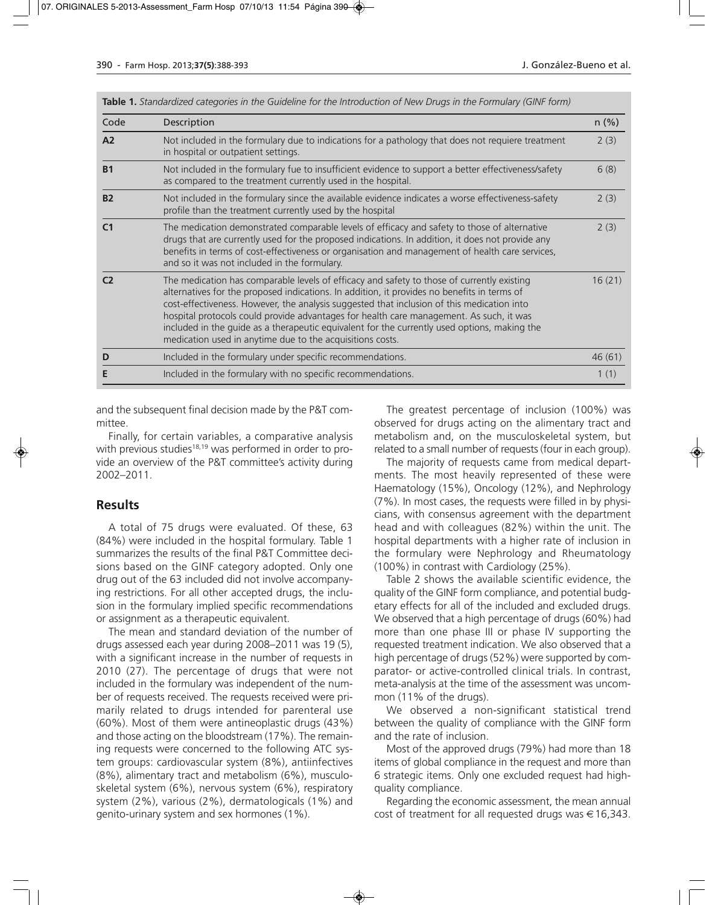| Code           | Description                                                                                                                                                                                                                                                                                                                                                                                                                                                                                                                                     | $n$ (%) |  |  |
|----------------|-------------------------------------------------------------------------------------------------------------------------------------------------------------------------------------------------------------------------------------------------------------------------------------------------------------------------------------------------------------------------------------------------------------------------------------------------------------------------------------------------------------------------------------------------|---------|--|--|
| A <sub>2</sub> | Not included in the formulary due to indications for a pathology that does not requiere treatment<br>in hospital or outpatient settings.                                                                                                                                                                                                                                                                                                                                                                                                        |         |  |  |
| <b>B1</b>      | Not included in the formulary fue to insufficient evidence to support a better effectiveness/safety<br>as compared to the treatment currently used in the hospital.                                                                                                                                                                                                                                                                                                                                                                             |         |  |  |
| <b>B2</b>      | Not included in the formulary since the available evidence indicates a worse effectiveness-safety<br>profile than the treatment currently used by the hospital                                                                                                                                                                                                                                                                                                                                                                                  |         |  |  |
| C <sub>1</sub> | The medication demonstrated comparable levels of efficacy and safety to those of alternative<br>drugs that are currently used for the proposed indications. In addition, it does not provide any<br>benefits in terms of cost-effectiveness or organisation and management of health care services,<br>and so it was not included in the formulary.                                                                                                                                                                                             |         |  |  |
| C <sub>2</sub> | The medication has comparable levels of efficacy and safety to those of currently existing<br>alternatives for the proposed indications. In addition, it provides no benefits in terms of<br>cost-effectiveness. However, the analysis suggested that inclusion of this medication into<br>hospital protocols could provide advantages for health care management. As such, it was<br>included in the quide as a therapeutic equivalent for the currently used options, making the<br>medication used in anytime due to the acquisitions costs. |         |  |  |
| D              | Included in the formulary under specific recommendations.                                                                                                                                                                                                                                                                                                                                                                                                                                                                                       | 46(61)  |  |  |
|                | Included in the formulary with no specific recommendations.                                                                                                                                                                                                                                                                                                                                                                                                                                                                                     | 1(1)    |  |  |

**Table 1.** *Standardized categories in the Guideline for the Introduction of New Drugs in the Formulary (GINF form)*

and the subsequent final decision made by the P&T committee.

Finally, for certain variables, a comparative analysis with previous studies<sup>18,19</sup> was performed in order to provide an overview of the P&T committee's activity during 2002–2011.

# **Results**

A total of 75 drugs were evaluated. Of these, 63 (84%) were included in the hospital formulary. Table 1 summarizes the results of the final P&T Committee decisions based on the GINF category adopted. Only one drug out of the 63 included did not involve accompanying restrictions. For all other accepted drugs, the inclusion in the formulary implied specific recommendations or assignment as a therapeutic equivalent.

The mean and standard deviation of the number of drugs assessed each year during 2008–2011 was 19 (5), with a significant increase in the number of requests in 2010 (27). The percentage of drugs that were not included in the formulary was independent of the number of requests received. The requests received were primarily related to drugs intended for parenteral use (60%). Most of them were antineoplastic drugs (43%) and those acting on the bloodstream (17%). The remaining requests were concerned to the following ATC system groups: cardiovascular system (8%), antiinfectives (8%), alimentary tract and metabolism (6%), musculoskeletal system (6%), nervous system (6%), respiratory system (2%), various (2%), dermatologicals (1%) and genito-urinary system and sex hormones (1%).

The greatest percentage of inclusion (100%) was observed for drugs acting on the alimentary tract and metabolism and, on the musculoskeletal system, but related to a small number of requests (four in each group).

The majority of requests came from medical departments. The most heavily represented of these were Haematology (15%), Oncology (12%), and Nephrology (7%). In most cases, the requests were filled in by physicians, with consensus agreement with the department head and with colleagues (82%) within the unit. The hospital departments with a higher rate of inclusion in the formulary were Nephrology and Rheumatology (100%) in contrast with Cardiology (25%).

Table 2 shows the available scientific evidence, the quality of the GINF form compliance, and potential budgetary effects for all of the included and excluded drugs. We observed that a high percentage of drugs (60%) had more than one phase III or phase IV supporting the requested treatment indication. We also observed that a high percentage of drugs (52%) were supported by comparator- or active-controlled clinical trials. In contrast, meta-analysis at the time of the assessment was uncommon (11% of the drugs).

We observed a non-significant statistical trend between the quality of compliance with the GINF form and the rate of inclusion.

Most of the approved drugs (79%) had more than 18 items of global compliance in the request and more than 6 strategic items. Only one excluded request had highquality compliance.

Regarding the economic assessment, the mean annual cost of treatment for all requested drugs was  $\in$  16,343.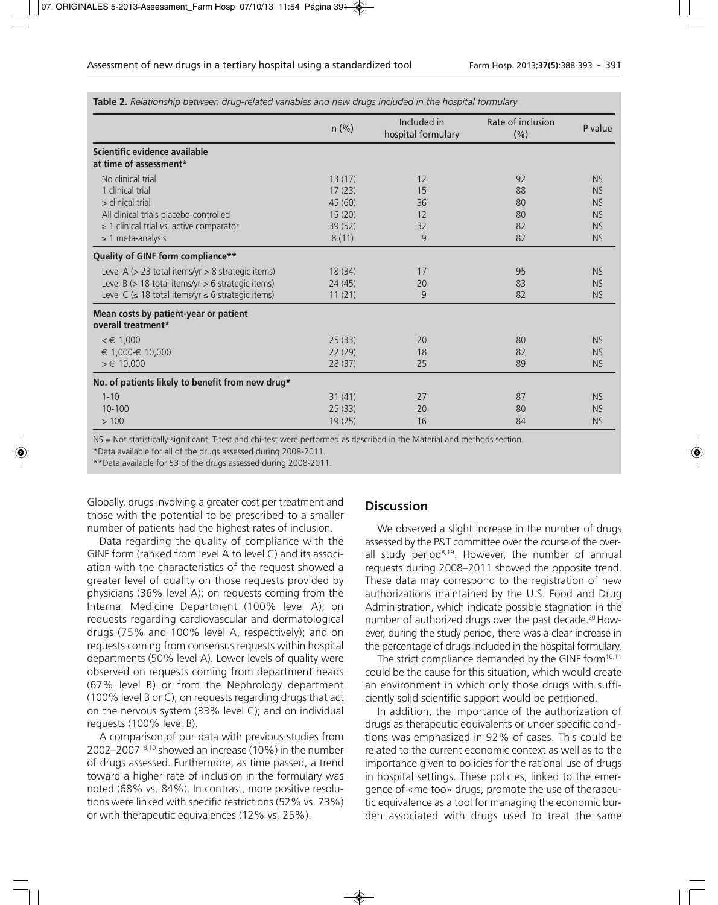|                                                              | $n$ (%) | Included in<br>hospital formulary | Rate of inclusion<br>(% ) | P value   |
|--------------------------------------------------------------|---------|-----------------------------------|---------------------------|-----------|
| Scientific evidence available                                |         |                                   |                           |           |
| at time of assessment*                                       |         |                                   |                           |           |
| No clinical trial                                            | 13(17)  | 12                                | 92                        | <b>NS</b> |
| 1 clinical trial                                             | 17(23)  | 15                                | 88                        | <b>NS</b> |
| $>$ clinical trial                                           | 45(60)  | 36                                | 80                        | <b>NS</b> |
| All clinical trials placebo-controlled                       | 15(20)  | 12                                | 80                        | <b>NS</b> |
| $\geq$ 1 clinical trial vs. active comparator                | 39 (52) | 32                                | 82                        | <b>NS</b> |
| $\geq$ 1 meta-analysis                                       | 8(11)   | 9                                 | 82                        | <b>NS</b> |
| Quality of GINF form compliance**                            |         |                                   |                           |           |
| Level A $(> 23$ total items/yr $> 8$ strategic items)        | 18(34)  | 17                                | 95                        | <b>NS</b> |
| Level B $(> 18$ total items/yr $> 6$ strategic items)        | 24(45)  | 20                                | 83                        | <b>NS</b> |
| Level C ( $\leq$ 18 total items/yr $\leq$ 6 strategic items) | 11(21)  | 9                                 | 82                        | <b>NS</b> |
| Mean costs by patient-year or patient<br>overall treatment*  |         |                                   |                           |           |
| $\epsilon \in 1,000$                                         | 25(33)  | 20                                | 80                        | <b>NS</b> |
| $\epsilon$ 1.000- $\epsilon$ 10.000                          | 22(29)  | 18                                | 82                        | <b>NS</b> |
| $> \in 10,000$                                               | 28(37)  | 25                                | 89                        | <b>NS</b> |
| No. of patients likely to benefit from new drug*             |         |                                   |                           |           |
| $1 - 10$                                                     | 31(41)  | 27                                | 87                        | <b>NS</b> |
| 10-100                                                       | 25(33)  | 20                                | 80                        | <b>NS</b> |
| >100                                                         | 19(25)  | 16                                | 84                        | <b>NS</b> |

**Table 2.** *Relationship between drug-related variables and new drugs included in the hospital formulary*

NS = Not statistically significant. T-test and chi-test were performed as described in the Material and methods section.

\*Data available for all of the drugs assessed during 2008-2011.

\*\*Data available for 53 of the drugs assessed during 2008-2011.

Globally, drugs involving a greater cost per treatment and those with the potential to be prescribed to a smaller number of patients had the highest rates of inclusion.

Data regarding the quality of compliance with the GINF form (ranked from level A to level C) and its association with the characteristics of the request showed a greater level of quality on those requests provided by physicians (36% level A); on requests coming from the Internal Medicine Department (100% level A); on requests regarding cardiovascular and dermatological drugs (75% and 100% level A, respectively); and on requests coming from consensus requests within hospital departments (50% level A). Lower levels of quality were observed on requests coming from department heads (67% level B) or from the Nephrology department (100% level B or C); on requests regarding drugs that act on the nervous system (33% level C); and on individual requests (100% level B).

A comparison of our data with previous studies from 2002–200718,19 showed an increase (10%) in the number of drugs assessed. Furthermore, as time passed, a trend toward a higher rate of inclusion in the formulary was noted (68% vs. 84%). In contrast, more positive resolutions were linked with specific restrictions (52% vs. 73%) or with therapeutic equivalences (12% vs. 25%).

# **Discussion**

We observed a slight increase in the number of drugs assessed by the P&T committee over the course of the overall study period<sup>8,19</sup>. However, the number of annual requests during 2008–2011 showed the opposite trend. These data may correspond to the registration of new authorizations maintained by the U.S. Food and Drug Administration, which indicate possible stagnation in the number of authorized drugs over the past decade.<sup>20</sup> However, during the study period, there was a clear increase in the percentage of drugs included in the hospital formulary.

The strict compliance demanded by the GINF form<sup>10,11</sup> could be the cause for this situation, which would create an environment in which only those drugs with sufficiently solid scientific support would be petitioned.

In addition, the importance of the authorization of drugs as therapeutic equivalents or under specific conditions was emphasized in 92% of cases. This could be related to the current economic context as well as to the importance given to policies for the rational use of drugs in hospital settings. These policies, linked to the emergence of «me too» drugs, promote the use of therapeutic equivalence as a tool for managing the economic burden associated with drugs used to treat the same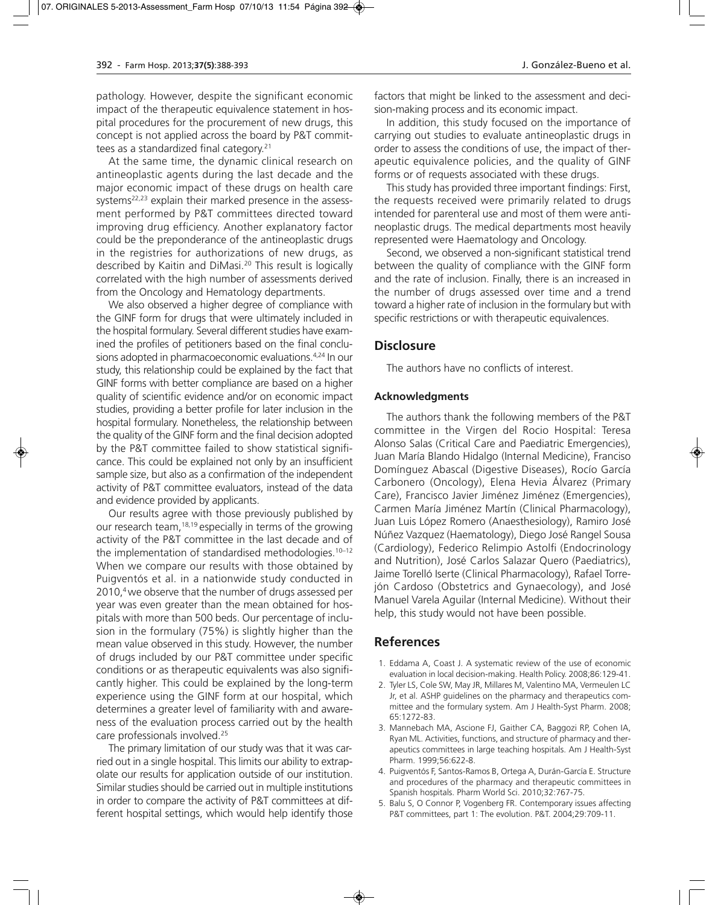pathology. However, despite the significant economic impact of the therapeutic equivalence statement in hospital procedures for the procurement of new drugs, this concept is not applied across the board by P&T committees as a standardized final category.<sup>21</sup>

At the same time, the dynamic clinical research on antineoplastic agents during the last decade and the major economic impact of these drugs on health care systems<sup>22,23</sup> explain their marked presence in the assessment performed by P&T committees directed toward improving drug efficiency. Another explanatory factor could be the preponderance of the antineoplastic drugs in the registries for authorizations of new drugs, as described by Kaitin and DiMasi.20 This result is logically correlated with the high number of assessments derived from the Oncology and Hematology departments.

We also observed a higher degree of compliance with the GINF form for drugs that were ultimately included in the hospital formulary. Several different studies have examined the profiles of petitioners based on the final conclusions adopted in pharmacoeconomic evaluations.4,24 In our study, this relationship could be explained by the fact that GINF forms with better compliance are based on a higher quality of scientific evidence and/or on economic impact studies, providing a better profile for later inclusion in the hospital formulary. Nonetheless, the relationship between the quality of the GINF form and the final decision adopted by the P&T committee failed to show statistical significance. This could be explained not only by an insufficient sample size, but also as a confirmation of the independent activity of P&T committee evaluators, instead of the data and evidence provided by applicants.

Our results agree with those previously published by our research team,<sup>18,19</sup> especially in terms of the growing activity of the P&T committee in the last decade and of the implementation of standardised methodologies.<sup>10-12</sup> When we compare our results with those obtained by Puigventós et al. in a nationwide study conducted in 2010,4 we observe that the number of drugs assessed per year was even greater than the mean obtained for hospitals with more than 500 beds. Our percentage of inclusion in the formulary (75%) is slightly higher than the mean value observed in this study. However, the number of drugs included by our P&T committee under specific conditions or as therapeutic equivalents was also significantly higher. This could be explained by the long-term experience using the GINF form at our hospital, which determines a greater level of familiarity with and awareness of the evaluation process carried out by the health care professionals involved.25

The primary limitation of our study was that it was carried out in a single hospital. This limits our ability to extrapolate our results for application outside of our institution. Similar studies should be carried out in multiple institutions in order to compare the activity of P&T committees at different hospital settings, which would help identify those factors that might be linked to the assessment and decision-making process and its economic impact.

In addition, this study focused on the importance of carrying out studies to evaluate antineoplastic drugs in order to assess the conditions of use, the impact of therapeutic equivalence policies, and the quality of GINF forms or of requests associated with these drugs.

This study has provided three important findings: First, the requests received were primarily related to drugs intended for parenteral use and most of them were antineoplastic drugs. The medical departments most heavily represented were Haematology and Oncology.

Second, we observed a non-significant statistical trend between the quality of compliance with the GINF form and the rate of inclusion. Finally, there is an increased in the number of drugs assessed over time and a trend toward a higher rate of inclusion in the formulary but with specific restrictions or with therapeutic equivalences.

# **Disclosure**

The authors have no conflicts of interest.

### **Acknowledgments**

The authors thank the following members of the P&T committee in the Virgen del Rocio Hospital: Teresa Alonso Salas (Critical Care and Paediatric Emergencies), Juan María Blando Hidalgo (Internal Medicine), Franciso Domínguez Abascal (Digestive Diseases), Rocío García Carbonero (Oncology), Elena Hevia Álvarez (Primary Care), Francisco Javier Jiménez Jiménez (Emergencies), Carmen María Jiménez Martín (Clinical Pharmacology), Juan Luis López Romero (Anaesthesiology), Ramiro José Núñez Vazquez (Haematology), Diego José Rangel Sousa (Cardiology), Federico Relimpio Astolfi (Endocrinology and Nutrition), José Carlos Salazar Quero (Paediatrics), Jaime Torelló Iserte (Clinical Pharmacology), Rafael Torrejón Cardoso (Obstetrics and Gynaecology), and José Manuel Varela Aguilar (Internal Medicine). Without their help, this study would not have been possible.

# **References**

- 1. Eddama A, Coast J. A systematic review of the use of economic evaluation in local decision-making. Health Policy. 2008;86:129-41.
- 2. Tyler LS, Cole SW, May JR, Millares M, Valentino MA, Vermeulen LC Jr, et al. ASHP guidelines on the pharmacy and therapeutics committee and the formulary system. Am J Health-Syst Pharm. 2008; 65:1272-83.
- 3. Mannebach MA, Ascione FJ, Gaither CA, Baggozi RP, Cohen IA, Ryan ML. Activities, functions, and structure of pharmacy and therapeutics committees in large teaching hospitals. Am J Health-Syst Pharm. 1999;56:622-8.
- 4. Puigventós F, Santos-Ramos B, Ortega A, Durán-García E. Structure and procedures of the pharmacy and therapeutic committees in Spanish hospitals. Pharm World Sci. 2010;32:767-75.
- 5. Balu S, O Connor P, Vogenberg FR. Contemporary issues affecting P&T committees, part 1: The evolution. P&T. 2004;29:709-11.